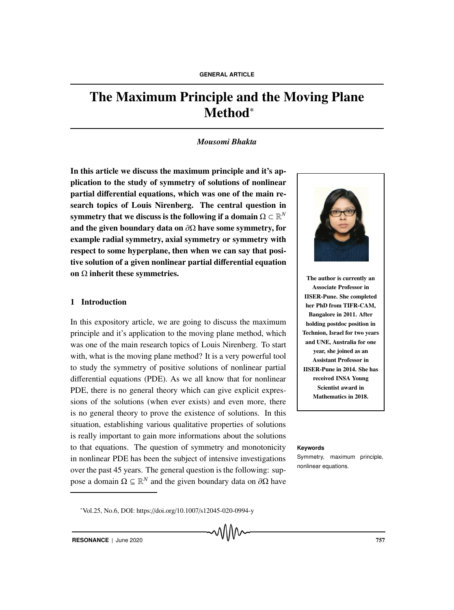# The Maximum Principle and the Moving Plane Method<sup>∗</sup>

# *Mousomi Bhakta*

In this article we discuss the maximum principle and it's application to the study of symmetry of solutions of nonlinear partial differential equations, which was one of the main research topics of Louis Nirenberg. The central question in symmetry that we discuss is the following if a domain  $\Omega \subset \mathbb{R}^N$ and the given boundary data on  $\partial\Omega$  have some symmetry, for example radial symmetry, axial symmetry or symmetry with respect to some hyperplane, then when we can say that positive solution of a given nonlinear partial differential equation on  $\Omega$  inherit these symmetries.

# 1 Introduction

In this expository article, we are going to discuss the maximum principle and it's application to the moving plane method, which was one of the main research topics of Louis Nirenberg. To start with, what is the moving plane method? It is a very powerful tool to study the symmetry of positive solutions of nonlinear partial differential equations (PDE). As we all know that for nonlinear PDE, there is no general theory which can give explicit expressions of the solutions (when ever exists) and even more, there is no general theory to prove the existence of solutions. In this situation, establishing various qualitative properties of solutions is really important to gain more informations about the solutions to that equations. The question of symmetry and monotonicity **Keywords** in nonlinear PDE has been the subject of intensive investigations over the past 45 years. The general question is the following: suppose a domain  $Ω ⊆ ℝ<sup>N</sup>$  and the given boundary data on  $∂Ω$  have



The author is currently an Associate Professor in IISER-Pune. She completed her PhD from TIFR-CAM, Bangalore in 2011. After holding postdoc position in Technion, Israel for two years and UNE, Australia for one year, she joined as an Assistant Professor in IISER-Pune in 2014. She has received INSA Young Scientist award in Mathematics in 2018.

Symmetry, maximum principle, nonlinear equations.

∗ Vol.25, No.6, DOI: https://doi.org/10.1007/s12045-020-0994-y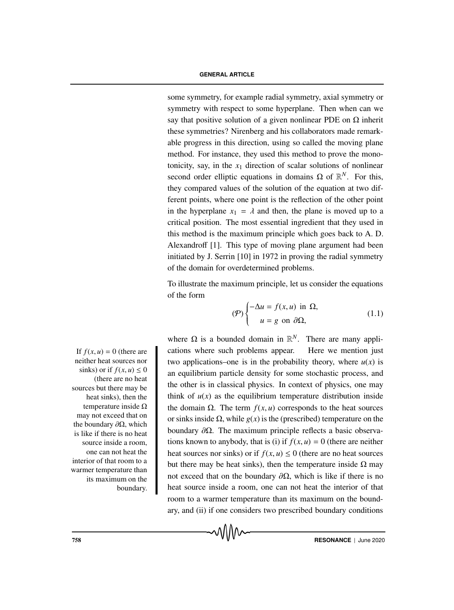### **GENERAL ARTICLE**

some symmetry, for example radial symmetry, axial symmetry or symmetry with respect to some hyperplane. Then when can we say that positive solution of a given nonlinear PDE on  $\Omega$  inherit these symmetries? Nirenberg and his collaborators made remarkable progress in this direction, using so called the moving plane method. For instance, they used this method to prove the monotonicity, say, in the  $x_1$  direction of scalar solutions of nonlinear second order elliptic equations in domains  $\Omega$  of  $\mathbb{R}^N$ . For this, they compared values of the solution of the equation at two different points, where one point is the reflection of the other point in the hyperplane  $x_1 = \lambda$  and then, the plane is moved up to a critical position. The most essential ingredient that they used in this method is the maximum principle which goes back to A. D. Alexandroff [1]. This type of moving plane argument had been initiated by J. Serrin [10] in 1972 in proving the radial symmetry of the domain for overdetermined problems.

To illustrate the maximum principle, let us consider the equations of the form

$$
\left(\mathcal{P}\right) \begin{cases}\n-\Delta u = f(x, u) \text{ in } \Omega, \\
u = g \text{ on } \partial \Omega,\n\end{cases}
$$
\n(1.1)

where  $\Omega$  is a bounded domain in  $\mathbb{R}^N$ . There are many appli-If  $f(x, u) = 0$  (there are cations where such problems appear. Here we mention just two applications–one is in the probability theory, where  $u(x)$  is an equilibrium particle density for some stochastic process, and the other is in classical physics. In context of physics, one may think of  $u(x)$  as the equilibrium temperature distribution inside the domain Ω. The term  $f(x, u)$  corresponds to the heat sources or sinks inside  $\Omega$ , while  $g(x)$  is the (prescribed) temperature on the boundary  $\partial \Omega$ . The maximum principle reflects a basic observations known to anybody, that is (i) if  $f(x, u) = 0$  (there are neither heat sources nor sinks) or if  $f(x, u) \le 0$  (there are no heat sources but there may be heat sinks), then the temperature inside  $\Omega$  may not exceed that on the boundary  $\partial \Omega$ , which is like if there is no heat source inside a room, one can not heat the interior of that room to a warmer temperature than its maximum on the boundary, and (ii) if one considers two prescribed boundary conditions

neither heat sources nor sinks) or if  $f(x, u) \leq 0$ (there are no heat sources but there may be heat sinks), then the temperature inside  $Ω$ may not exceed that on the boundary  $\partial \Omega$ , which is like if there is no heat source inside a room, one can not heat the interior of that room to a warmer temperature than its maximum on the boundary.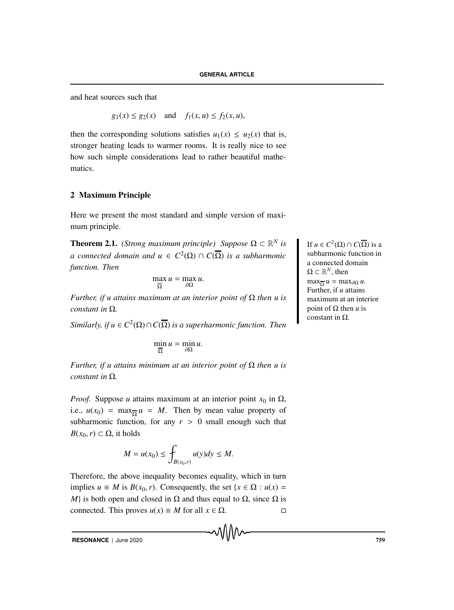and heat sources such that

 $g_1(x) \le g_2(x)$  and  $f_1(x, u) \le f_2(x, u)$ ,

then the corresponding solutions satisfies  $u_1(x) \le u_2(x)$  that is, stronger heating leads to warmer rooms. It is really nice to see how such simple considerations lead to rather beautiful mathematics.

# 2 Maximum Principle

Here we present the most standard and simple version of maximum principle.

**Theorem 2.1.** *(Strong maximum principle) Suppose*  $\Omega \subset \mathbb{R}^N$  *is* **i** If  $u \in C^2(\Omega) \cap C(\overline{\Omega})$  is a *a connected domain and*  $u \in C^2(\Omega) \cap C(\overline{\Omega})$  *is a subharmonic function. Then*

$$
\max_{\overline{\Omega}} u = \max_{\partial \Omega} u.
$$

*Further, if u attains maximum at an interior point of* Ω *then u is constant in* Ω*.*

*Similarly, if*  $u \in C^2(\Omega) \cap C(\overline{\Omega})$  *is a superharmonic function. Then* 

$$
\min_{\overline{\Omega}} u = \min_{\partial \Omega} u.
$$

*Further, if u attains minimum at an interior point of* Ω *then u is constant in* Ω*.*

*Proof.* Suppose *u* attains maximum at an interior point  $x_0$  in  $\Omega$ , i.e.,  $u(x_0) = \max_{\Omega} u = M$ . Then by mean value property of subharmonic function, for any  $r > 0$  small enough such that  $B(x_0, r) \subset \Omega$ , it holds

$$
M = u(x_0) \le \int_{B(x_0,r)} u(y) dy \le M.
$$

Therefore, the above inequality becomes equality, which in turn implies  $u \equiv M$  is  $B(x_0, r)$ . Consequently, the set  $\{x \in \Omega : u(x) =$ *M*} is both open and closed in  $\Omega$  and thus equal to  $\Omega$ , since  $\Omega$  is connected. This proves  $u(x) \equiv M$  for all  $x \in \Omega$ .

**RESONANCE** | June 2020 759

subharmonic function in a connected domain  $\Omega \subset \mathbb{R}^N$ , then  $max_{\overline{\Omega}} u = max_{\partial\Omega} u$ . Further, if *u* attains maximum at an interior point of  $Ω$  then *u* is constant in  $\Omega$ .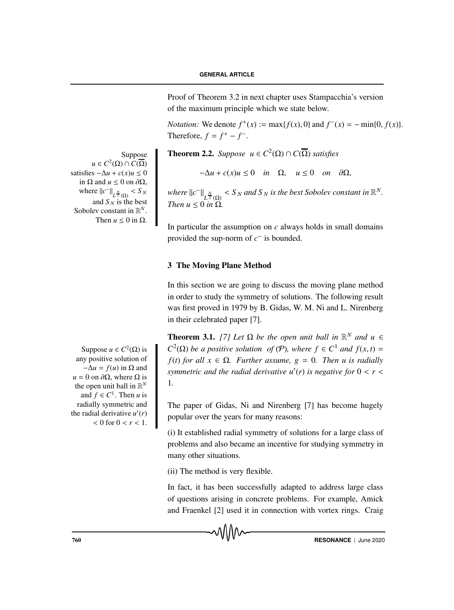Proof of Theorem 3.2 in next chapter uses Stampacchia's version of the maximum principle which we state below.

*Notation:* We denote  $f^+(x) := \max\{f(x), 0\}$  and  $f^-(x) = -\min\{0, f(x)\}.$ Therefore,  $f = f^+ - f^-$ .

*Suppose* Theorem 2.2. *Suppose*  $u \in C^2(\Omega) \cap C(\overline{\Omega})$  *satisfies* 

 $-\Delta u + c(x)u \leq 0$  *in*  $\Omega$ ,  $u \leq 0$  *on*  $\partial\Omega$ ,

*where*  $||c^-||_{L^{\frac{N}{2}}(\Omega)} < S_N$  *and*  $S_N$  *is the best Sobolev constant in*  $\mathbb{R}^N$ . *Then*  $u \leq 0$  *in*  $\Omega$ *.* 

In particular the assumption on *c* always holds in small domains provided the sup-norm of *c*− is bounded.

# 3 The Moving Plane Method

In this section we are going to discuss the moving plane method in order to study the symmetry of solutions. The following result was first proved in 1979 by B. Gidas, W. M. Ni and L. Nirenberg in their celebrated paper [7].

**Theorem 3.1.** *[7] Let*  $\Omega$  *be the open unit ball in*  $\mathbb{R}^N$  *and*  $u \in \Omega$ Suppose  $u \in C^2(\Omega)$  is  $C^2(\Omega)$  *be a positive solution of* (*P*)*, where*  $f \in C^1$  *and*  $f(x, t) =$  $f(t)$  *for all*  $x \in \Omega$ *. Further assume, g = 0. Then u is radially symmetric and the radial derivative*  $u'(r)$  *is negative for*  $0 < r <$ 1*.*

> The paper of Gidas, Ni and Nirenberg [7] has become hugely popular over the years for many reasons:

> (i) It established radial symmetry of solutions for a large class of problems and also became an incentive for studying symmetry in many other situations.

(ii) The method is very flexible.

In fact, it has been successfully adapted to address large class of questions arising in concrete problems. For example, Amick and Fraenkel [2] used it in connection with vortex rings. Craig

```
any positive solution of
    -\Delta u = f(u) in \Omega and
u = 0 on \partial \Omega, where \Omega is
 the open unit ball in \mathbb{R}^Nand f \in C^1. Then u is
  radially symmetric and
the radial derivative u'(r)< 0 for 0 < r < 1.
```
 $u \in C^2(\Omega) \cap C(\overline{\Omega})$ satisfies  $-\Delta u + c(x)u \leq 0$ in  $\Omega$  and  $u \leq 0$  on  $\partial \Omega$ , where  $||c^-||_{L^{\frac{N}{2}}(\Omega)} < S_N$ and  $S_N$  is the best Sobolev constant in R*N*. Then  $u < 0$  in  $\Omega$ .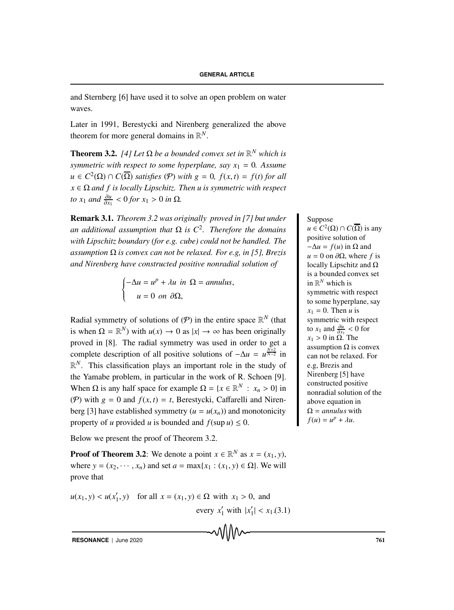and Sternberg [6] have used it to solve an open problem on water waves.

Later in 1991, Berestycki and Nirenberg generalized the above theorem for more general domains in R*N*.

**Theorem 3.2.** *[4] Let*  $\Omega$  *be a bounded convex set in*  $\mathbb{R}^N$  *which is symmetric with respect to some hyperplane, say*  $x_1 = 0$ *. Assume*  $u \in C^2(\Omega) \cap C(\overline{\Omega})$  *satisfies* (*P*) *with*  $g = 0$ ,  $f(x, t) = f(t)$  *for all*  $x \in \Omega$  *and f is locally Lipschitz. Then u is symmetric with respect to*  $x_1$  *and*  $\frac{\partial u}{\partial x_1} < 0$  *for*  $x_1 > 0$  *in*  $\Omega$ *.* 

**Remark 3.1.** *Theorem 3.2 was originally proved in [7] but under* Suppose *an additional assumption that* Ω *is C*2*. Therefore the domains with Lipschitz boundary (for e.g. cube) could not be handled. The assumption* Ω *is convex can not be relaxed. For e.g, in [5], Brezis and Nirenberg have constructed positive nonradial solution of*

$$
\begin{cases}\n-\Delta u = u^p + \lambda u & \text{in } \Omega = annulus, \\
u = 0 & \text{on } \partial\Omega,\n\end{cases}
$$

Radial symmetry of solutions of  $(P)$  in the entire space  $\mathbb{R}^N$  (that is when  $\Omega = \mathbb{R}^N$ ) with  $u(x) \to 0$  as  $|x| \to \infty$  has been originally proved in [8]. The radial symmetry was used in order to get a complete description of all positive solutions of  $-\Delta u = u^{\frac{N+2}{N-2}}$  in  $\mathbb{R}^N$ . This classification plays an important role in the study of the Yamabe problem, in particular in the work of R. Schoen [9]. When  $\Omega$  is any half space for example  $\Omega = \{x \in \mathbb{R}^N : x_n > 0\}$  in (P) with  $g = 0$  and  $f(x, t) = t$ , Berestycki, Caffarelli and Nirenberg [3] have established symmetry  $(u = u(x_n))$  and monotonicity property of *u* provided *u* is bounded and  $f(\sup u) \leq 0$ .

Below we present the proof of Theorem 3.2.

**Proof of Theorem 3.2:** We denote a point  $x \in \mathbb{R}^N$  as  $x = (x_1, y)$ , where  $y = (x_2, \dots, x_n)$  and set  $a = \max\{x_1 : (x_1, y) \in \Omega\}$ . We will prove that

$$
u(x_1, y) < u(x'_1, y)
$$
 for all  $x = (x_1, y) \in \Omega$  with  $x_1 > 0$ , and  
every  $x'_1$  with  $|x'_1| < x_1$ .

 $u \in C^2(\Omega) \cap C(\overline{\Omega})$  is any positive solution of  $-\Delta u = f(u)$  in  $\Omega$  and  $u = 0$  on  $\partial\Omega$ , where *f* is locally Lipschitz and Ω is a bounded convex set in  $\mathbb{R}^N$  which is symmetric with respect to some hyperplane, say  $x_1 = 0$ . Then *u* is symmetric with respect to *x*<sub>1</sub> and  $\frac{\partial u}{\partial x_1}$  < 0 for  $x_1 > 0$  in  $\Omega$ . The assumption  $Ω$  is convex can not be relaxed. For e.g, Brezis and Nirenberg [5] have constructed positive nonradial solution of the above equation in Ω = *annulus* with

 $f(u) = u^p + \lambda u$ .

<sup>1</sup>| < *x*1.(3.1)

**RESONANCE** | June 2020 **761**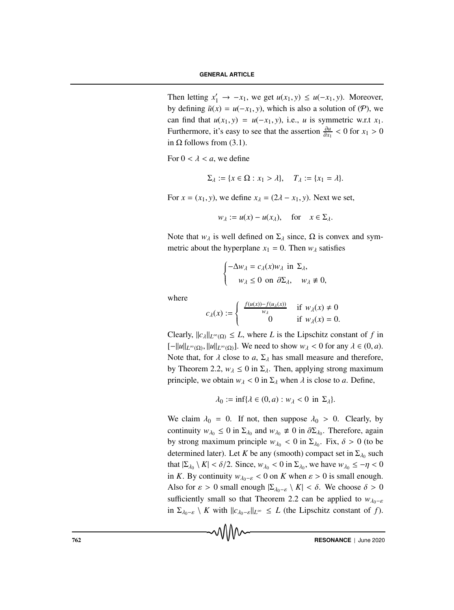Then letting  $x'_1 \rightarrow -x_1$ , we get  $u(x_1, y) \le u(-x_1, y)$ . Moreover, by defining  $\tilde{u}(x) = u(-x_1, y)$ , which is also a solution of (P), we can find that  $u(x_1, y) = u(-x_1, y)$ , i.e., *u* is symmetric w.r.t  $x_1$ . Furthermore, it's easy to see that the assertion  $\frac{\partial u}{\partial x_1} < 0$  for  $x_1 > 0$ in  $\Omega$  follows from (3.1).

For  $0 < \lambda < a$ , we define

$$
\Sigma_{\lambda} := \{x \in \Omega : x_1 > \lambda\}, \quad T_{\lambda} := \{x_1 = \lambda\}.
$$

For  $x = (x_1, y)$ , we define  $x_\lambda = (2\lambda - x_1, y)$ . Next we set,

$$
w_{\lambda} := u(x) - u(x_{\lambda}), \quad \text{for} \quad x \in \Sigma_{\lambda}.
$$

Note that  $w_{\lambda}$  is well defined on  $\Sigma_{\lambda}$  since,  $\Omega$  is convex and symmetric about the hyperplane  $x_1 = 0$ . Then  $w_\lambda$  satisfies

$$
\begin{cases}\n-\Delta w_{\lambda} = c_{\lambda}(x)w_{\lambda} \text{ in } \Sigma_{\lambda}, \\
w_{\lambda} \le 0 \text{ on } \partial \Sigma_{\lambda}, \quad w_{\lambda} \ne 0,\n\end{cases}
$$

where

$$
c_{\lambda}(x) := \begin{cases} \frac{f(u(x)) - f(u_{\lambda}(x))}{w_{\lambda}} & \text{if } w_{\lambda}(x) \neq 0\\ 0 & \text{if } w_{\lambda}(x) = 0. \end{cases}
$$

Clearly,  $||c_{\lambda}||_{L^{\infty}(\Omega)} \leq L$ , where *L* is the Lipschitz constant of *f* in  $[-||u||_{L^{\infty}(\Omega)}, ||u||_{L^{\infty}(\Omega)}]$ . We need to show  $w_{\lambda} < 0$  for any  $\lambda \in (0, a)$ . Note that, for  $\lambda$  close to  $a, \Sigma_{\lambda}$  has small measure and therefore, by Theorem 2.2,  $w_{\lambda} \le 0$  in  $\Sigma_{\lambda}$ . Then, applying strong maximum principle, we obtain  $w_{\lambda} < 0$  in  $\Sigma_{\lambda}$  when  $\lambda$  is close to *a*. Define,

$$
\lambda_0 := \inf \{ \lambda \in (0, a) : w_\lambda < 0 \text{ in } \Sigma_\lambda \}.
$$

We claim  $\lambda_0 = 0$ . If not, then suppose  $\lambda_0 > 0$ . Clearly, by continuity  $w_{\lambda_0} \le 0$  in  $\Sigma_{\lambda_0}$  and  $w_{\lambda_0} \ne 0$  in  $\partial \Sigma_{\lambda_0}$ . Therefore, again by strong maximum principle  $w_{\lambda_0} < 0$  in  $\Sigma_{\lambda_0}$ . Fix,  $\delta > 0$  (to be determined later). Let *K* be any (smooth) compact set in  $\Sigma_{\lambda_0}$  such that  $|\Sigma_{\lambda_0} \setminus K| < \delta/2$ . Since,  $w_{\lambda_0} < 0$  in  $\Sigma_{\lambda_0}$ , we have  $w_{\lambda_0} \le -\eta < 0$ in *K*. By continuity  $w_{\lambda_0-\varepsilon} < 0$  on *K* when  $\varepsilon > 0$  is small enough. Also for  $\varepsilon > 0$  small enough  $|\Sigma_{\lambda_0-\varepsilon} \setminus K| < \delta$ . We choose  $\delta > 0$ sufficiently small so that Theorem 2.2 can be applied to  $w_{\lambda_0-\varepsilon}$ in  $\Sigma_{\lambda_0-\varepsilon} \setminus K$  with  $||c_{\lambda_0-\varepsilon}||_{L^{\infty}} \leq L$  (the Lipschitz constant of *f*).